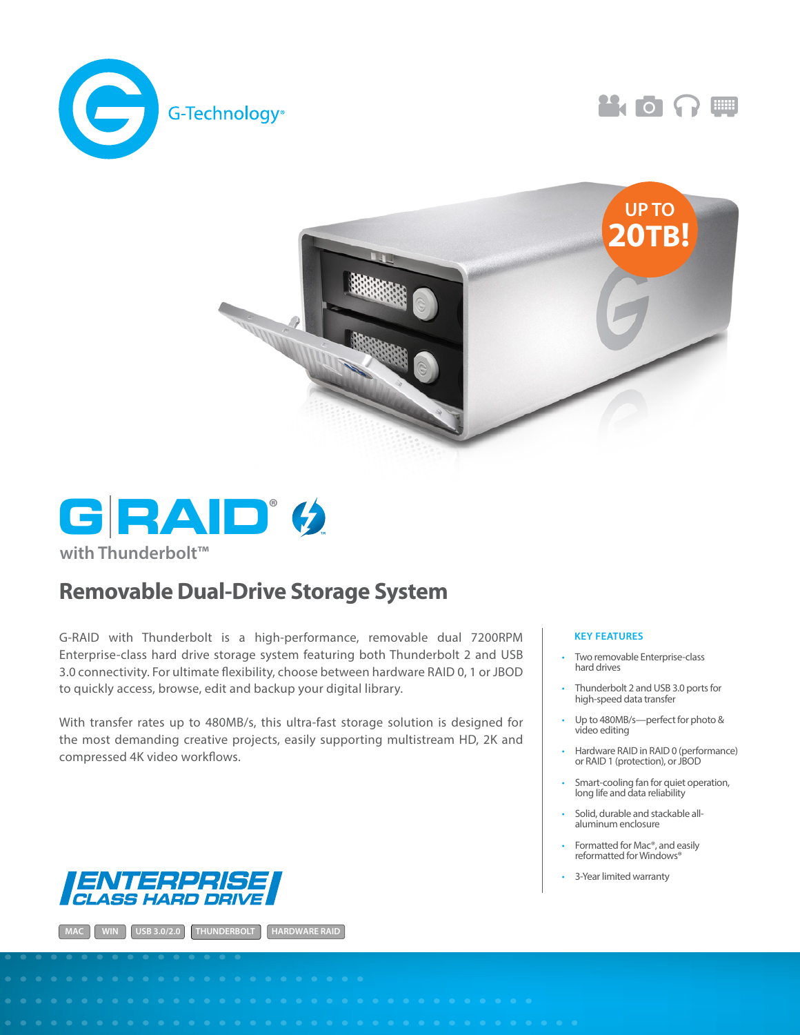







**with Thunderbolt™**

## Removable Dual-Drive Storage System

G-RAID with Thunderbolt is a high-performance, removable dual 7200RPM Enterprise-class hard drive storage system featuring both Thunderbolt 2 and USB 3.0 connectivity. For ultimate flexibility, choose between hardware RAID 0, 1 or JBOD to quickly access, browse, edit and backup your digital library.

With transfer rates up to 480MB/s, this ultra-fast storage solution is designed for the most demanding creative projects, easily supporting multistream HD, 2K and compressed 4K video workflows.



**MAC WIN USB 3.0/2.0 THUNDERBOLT HARDWARE RAID**

## **KEY FEATURES**

- Two removable Enterprise-class hard drives
- Thunderbolt 2 and USB 3.0 ports for high-speed data transfer
- Up to 480MB/s--perfect for photo & video editing
- Hardware RAID in RAID 0 (performance) or RAID 1 (protection), or JBOD
- Smart-cooling fan for quiet operation, long life and data reliability
- Solid, durable and stackable allaluminum enclosure
- Formatted for Mac®, and easily reformatted for Windows®
- 3-Year limited warranty